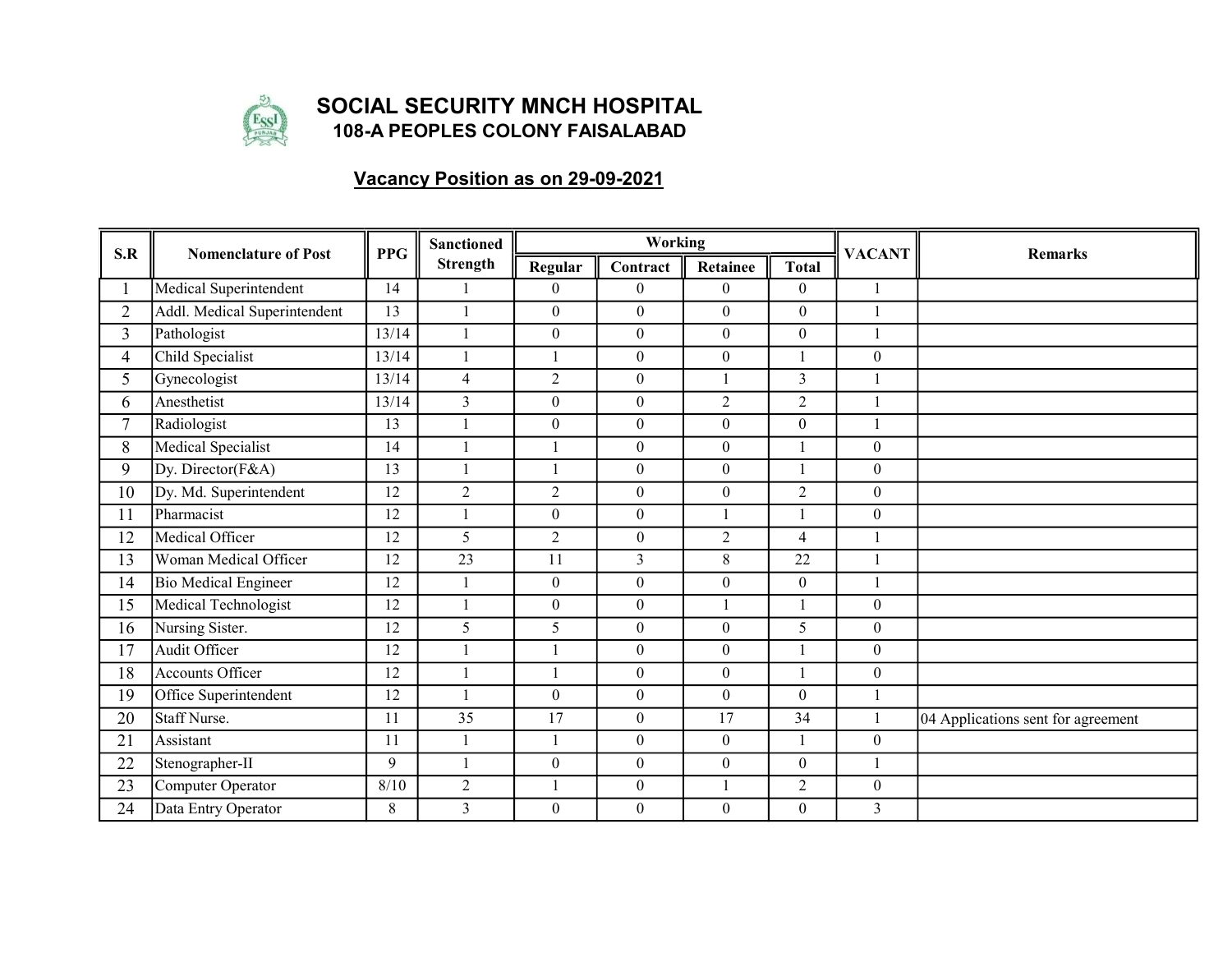

## SOCIAL SECURITY MNCH HOSPITAL 108-A PEOPLES COLONY FAISALABAD

## Vacancy Position as on 29-09-2021

| S.R            | <b>Nomenclature of Post</b>  | <b>PPG</b> | <b>Sanctioned</b><br><b>Strength</b> |                  | <b>Working</b>   |                  |                  | <b>VACANT</b>    | <b>Remarks</b>                     |
|----------------|------------------------------|------------|--------------------------------------|------------------|------------------|------------------|------------------|------------------|------------------------------------|
|                |                              |            |                                      | Regular          | Contract         | Retainee         | <b>Total</b>     |                  |                                    |
|                | Medical Superintendent       | 14         |                                      | $\Omega$         | $\Omega$         | $\theta$         | $\Omega$         |                  |                                    |
| $\overline{2}$ | Addl. Medical Superintendent | 13         |                                      | $\boldsymbol{0}$ | $\overline{0}$   | $\boldsymbol{0}$ | $\theta$         |                  |                                    |
| 3              | Pathologist                  | 13/14      |                                      | $\boldsymbol{0}$ | $\boldsymbol{0}$ | $\boldsymbol{0}$ | $\theta$         |                  |                                    |
| $\overline{4}$ | Child Specialist             | 13/14      |                                      |                  | $\overline{0}$   | $\mathbf{0}$     |                  | $\mathbf{0}$     |                                    |
| 5              | Gynecologist                 | 13/14      | $\overline{4}$                       | $\overline{2}$   | $\overline{0}$   | $\mathbf{1}$     | $\overline{3}$   |                  |                                    |
| 6              | Anesthetist                  | 13/14      | $\overline{3}$                       | $\boldsymbol{0}$ | $\overline{0}$   | $\overline{2}$   | $\overline{2}$   |                  |                                    |
| $\tau$         | Radiologist                  | 13         |                                      | $\theta$         | $\overline{0}$   | $\mathbf{0}$     | $\theta$         | 1                |                                    |
| 8              | Medical Specialist           | 14         |                                      |                  | $\theta$         | $\boldsymbol{0}$ |                  | $\theta$         |                                    |
| 9              | Dy. Director(F&A)            | 13         |                                      |                  | $\overline{0}$   | $\boldsymbol{0}$ |                  | $\mathbf{0}$     |                                    |
| 10             | Dy. Md. Superintendent       | 12         | $\overline{2}$                       | $\overline{2}$   | $\overline{0}$   | $\mathbf{0}$     | $\overline{2}$   | $\mathbf{0}$     |                                    |
| 11             | Pharmacist                   | 12         |                                      | $\overline{0}$   | $\boldsymbol{0}$ | $\mathbf{1}$     |                  | $\mathbf{0}$     |                                    |
| 12             | Medical Officer              | 12         | 5                                    | $\overline{2}$   | $\overline{0}$   | $\overline{2}$   | $\overline{4}$   |                  |                                    |
| 13             | Woman Medical Officer        | 12         | $\overline{23}$                      | 11               | $\overline{3}$   | $8\,$            | 22               |                  |                                    |
| 14             | <b>Bio Medical Engineer</b>  | 12         |                                      | $\mathbf{0}$     | $\overline{0}$   | $\mathbf{0}$     | $\Omega$         |                  |                                    |
| 15             | Medical Technologist         | 12         |                                      | $\boldsymbol{0}$ | $\overline{0}$   |                  |                  | $\mathbf{0}$     |                                    |
| 16             | Nursing Sister.              | 12         | 5                                    | 5                | $\boldsymbol{0}$ | $\boldsymbol{0}$ | 5                | $\boldsymbol{0}$ |                                    |
| 17             | Audit Officer                | 12         |                                      |                  | $\overline{0}$   | $\boldsymbol{0}$ |                  | $\overline{0}$   |                                    |
| 18             | <b>Accounts Officer</b>      | 12         |                                      |                  | $\overline{0}$   | $\mathbf{0}$     |                  | $\mathbf{0}$     |                                    |
| 19             | Office Superintendent        | 12         |                                      | $\overline{0}$   | $\overline{0}$   | $\mathbf{0}$     | $\Omega$         |                  |                                    |
| 20             | Staff Nurse.                 | 11         | $\overline{35}$                      | $\overline{17}$  | $\overline{0}$   | 17               | 34               |                  | 04 Applications sent for agreement |
| 21             | Assistant                    | 11         |                                      |                  | $\boldsymbol{0}$ | $\boldsymbol{0}$ |                  | $\mathbf{0}$     |                                    |
| 22             | Stenographer-II              | 9          |                                      | $\overline{0}$   | $\overline{0}$   | $\boldsymbol{0}$ | $\boldsymbol{0}$ |                  |                                    |
| 23             | Computer Operator            | 8/10       | $\sqrt{2}$                           |                  | $\overline{0}$   |                  | $\overline{c}$   | $\boldsymbol{0}$ |                                    |
| 24             | Data Entry Operator          | 8          | $\overline{3}$                       | $\theta$         | $\theta$         | $\boldsymbol{0}$ | $\overline{0}$   | $\mathfrak{Z}$   |                                    |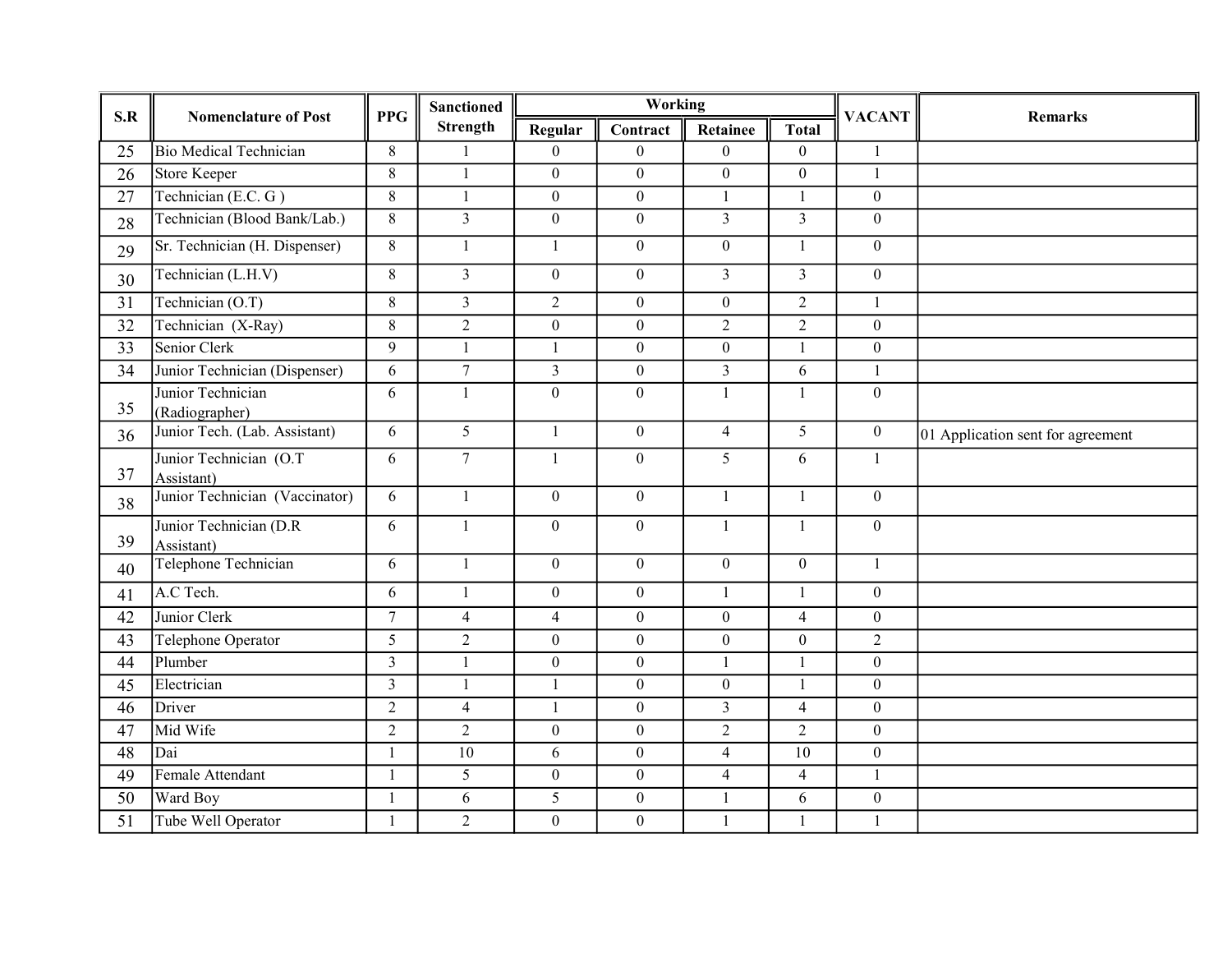| S.R             | <b>Nomenclature of Post</b>           | <b>PPG</b>     | <b>Sanctioned</b><br><b>Strength</b> | Working          |                  |                  |                  | <b>VACANT</b>    | <b>Remarks</b>                    |
|-----------------|---------------------------------------|----------------|--------------------------------------|------------------|------------------|------------------|------------------|------------------|-----------------------------------|
|                 |                                       |                |                                      | Regular          | Contract         | Retainee         | <b>Total</b>     |                  |                                   |
| 25              | <b>Bio Medical Technician</b>         | $8\,$          | $\mathbf{1}$                         | $\overline{0}$   | $\overline{0}$   | $\boldsymbol{0}$ | $\overline{0}$   | $\mathbf{1}$     |                                   |
| 26              | <b>Store Keeper</b>                   | 8              | $\mathbf{1}$                         | $\overline{0}$   | $\mathbf{0}$     | $\boldsymbol{0}$ | $\overline{0}$   | $\mathbf{1}$     |                                   |
| $\overline{27}$ | Technician (E.C. G)                   | $8\,$          | $\mathbf{1}$                         | $\overline{0}$   | $\overline{0}$   | $\mathbf{1}$     | $\mathbf{1}$     | $\boldsymbol{0}$ |                                   |
| 28              | Technician (Blood Bank/Lab.)          | 8              | $\overline{3}$                       | $\overline{0}$   | $\overline{0}$   | $\overline{3}$   | $\overline{3}$   | $\mathbf{0}$     |                                   |
| 29              | Sr. Technician (H. Dispenser)         | $8\,$          | $\mathbf{1}$                         | $\mathbf{1}$     | $\overline{0}$   | $\boldsymbol{0}$ | $\mathbf{1}$     | $\boldsymbol{0}$ |                                   |
| 30              | Technician (L.H.V)                    | $8\,$          | $\overline{3}$                       | $\boldsymbol{0}$ | $\overline{0}$   | $\overline{3}$   | $\overline{3}$   | $\boldsymbol{0}$ |                                   |
| 31              | Technician (O.T)                      | 8              | $\overline{3}$                       | $\overline{2}$   | $\overline{0}$   | $\boldsymbol{0}$ | $\overline{2}$   | $\mathbf{1}$     |                                   |
| 32              | Technician (X-Ray)                    | $\,8\,$        | $\overline{2}$                       | $\overline{0}$   | $\overline{0}$   | $\overline{2}$   | $\overline{2}$   | $\boldsymbol{0}$ |                                   |
| $\overline{33}$ | Senior Clerk                          | 9              | 1                                    | $\mathbf{1}$     | $\overline{0}$   | $\boldsymbol{0}$ | 1                | $\mathbf{0}$     |                                   |
| 34              | Junior Technician (Dispenser)         | 6              | $\tau$                               | $\overline{3}$   | $\overline{0}$   | $\mathfrak{Z}$   | 6                | 1                |                                   |
| 35              | Junior Technician<br>(Radiographer)   | 6              | $\mathbf{1}$                         | $\overline{0}$   | $\overline{0}$   | $\mathbf{1}$     | $\mathbf{1}$     | $\boldsymbol{0}$ |                                   |
| 36              | Junior Tech. (Lab. Assistant)         | 6              | 5                                    | $\mathbf{1}$     | $\overline{0}$   | $\overline{4}$   | 5                | $\overline{0}$   | 01 Application sent for agreement |
| 37              | Junior Technician (O.T)<br>Assistant) | 6              | $\overline{7}$                       | $\mathbf{1}$     | $\overline{0}$   | 5                | 6                | $\mathbf{1}$     |                                   |
| 38              | Junior Technician (Vaccinator)        | 6              | $\mathbf{1}$                         | $\overline{0}$   | $\overline{0}$   | $\mathbf{1}$     | $\mathbf{1}$     | $\mathbf{0}$     |                                   |
| 39              | Junior Technician (D.R<br>Assistant)  | 6              | $\mathbf{1}$                         | $\overline{0}$   | $\overline{0}$   | $\mathbf{1}$     | $\mathbf{1}$     | $\mathbf{0}$     |                                   |
| 40              | Telephone Technician                  | 6              | $\mathbf{1}$                         | $\overline{0}$   | $\overline{0}$   | $\boldsymbol{0}$ | $\overline{0}$   | $\mathbf{1}$     |                                   |
| 41              | A.C Tech.                             | 6              | $\mathbf{1}$                         | $\boldsymbol{0}$ | $\mathbf{0}$     | $\mathbf{1}$     | $\mathbf{1}$     | $\boldsymbol{0}$ |                                   |
| 42              | Junior Clerk                          | $\tau$         | $\overline{4}$                       | $\overline{4}$   | $\overline{0}$   | $\boldsymbol{0}$ | $\overline{4}$   | $\boldsymbol{0}$ |                                   |
| 43              | Telephone Operator                    | 5              | $\overline{2}$                       | $\overline{0}$   | $\overline{0}$   | $\boldsymbol{0}$ | $\boldsymbol{0}$ | $\overline{2}$   |                                   |
| 44              | Plumber                               | $\overline{3}$ | $\mathbf{1}$                         | $\overline{0}$   | $\boldsymbol{0}$ | $\mathbf{1}$     | $\mathbf{1}$     | $\boldsymbol{0}$ |                                   |
| 45              | Electrician                           | $\overline{3}$ | $\mathbf{1}$                         | 1                | $\overline{0}$   | $\boldsymbol{0}$ | 1                | $\mathbf{0}$     |                                   |
| 46              | Driver                                | $\overline{2}$ | $\overline{4}$                       | $\mathbf{1}$     | $\mathbf{0}$     | $\mathfrak{Z}$   | $\overline{4}$   | $\boldsymbol{0}$ |                                   |
| 47              | Mid Wife                              | $\sqrt{2}$     | $\sqrt{2}$                           | $\boldsymbol{0}$ | $\overline{0}$   | $\sqrt{2}$       | $\overline{2}$   | $\overline{0}$   |                                   |
| $\overline{48}$ | Dai                                   | $\mathbf{1}$   | $\overline{10}$                      | 6                | $\overline{0}$   | $\overline{4}$   | 10               | $\mathbf{0}$     |                                   |
| 49              | Female Attendant                      | $\mathbf{1}$   | 5                                    | $\boldsymbol{0}$ | $\overline{0}$   | $\overline{4}$   | $\overline{4}$   | 1                |                                   |
| 50              | Ward Boy                              | -1             | 6                                    | 5                | $\overline{0}$   | $\mathbf{1}$     | 6                | $\boldsymbol{0}$ |                                   |
| 51              | Tube Well Operator                    | 1              | $\overline{2}$                       | $\boldsymbol{0}$ | $\boldsymbol{0}$ | -1               | 1                | $\mathbf{1}$     |                                   |